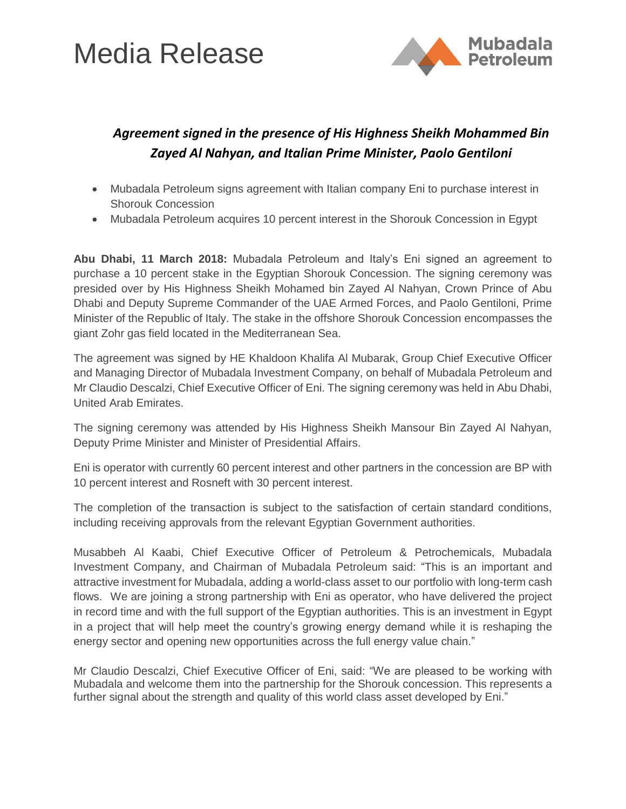## Media Release



### *Agreement signed in the presence of His Highness Sheikh Mohammed Bin Zayed Al Nahyan, and Italian Prime Minister, Paolo Gentiloni*

- Mubadala Petroleum signs agreement with Italian company Eni to purchase interest in Shorouk Concession
- Mubadala Petroleum acquires 10 percent interest in the Shorouk Concession in Egypt

**Abu Dhabi, 11 March 2018:** Mubadala Petroleum and Italy's Eni signed an agreement to purchase a 10 percent stake in the Egyptian Shorouk Concession. The signing ceremony was presided over by His Highness Sheikh Mohamed bin Zayed Al Nahyan, Crown Prince of Abu Dhabi and Deputy Supreme Commander of the UAE Armed Forces, and Paolo Gentiloni, Prime Minister of the Republic of Italy. The stake in the offshore Shorouk Concession encompasses the giant Zohr gas field located in the Mediterranean Sea.

The agreement was signed by HE Khaldoon Khalifa Al Mubarak, Group Chief Executive Officer and Managing Director of Mubadala Investment Company, on behalf of Mubadala Petroleum and Mr Claudio Descalzi, Chief Executive Officer of Eni. The signing ceremony was held in Abu Dhabi, United Arab Emirates.

The signing ceremony was attended by His Highness Sheikh Mansour Bin Zayed Al Nahyan, Deputy Prime Minister and Minister of Presidential Affairs.

Eni is operator with currently 60 percent interest and other partners in the concession are BP with 10 percent interest and Rosneft with 30 percent interest.

The completion of the transaction is subject to the satisfaction of certain standard conditions, including receiving approvals from the relevant Egyptian Government authorities.

Musabbeh Al Kaabi, Chief Executive Officer of Petroleum & Petrochemicals, Mubadala Investment Company, and Chairman of Mubadala Petroleum said: "This is an important and attractive investment for Mubadala, adding a world-class asset to our portfolio with long-term cash flows. We are joining a strong partnership with Eni as operator, who have delivered the project in record time and with the full support of the Egyptian authorities. This is an investment in Egypt in a project that will help meet the country's growing energy demand while it is reshaping the energy sector and opening new opportunities across the full energy value chain."

Mr Claudio Descalzi, Chief Executive Officer of Eni, said: "We are pleased to be working with Mubadala and welcome them into the partnership for the Shorouk concession. This represents a further signal about the strength and quality of this world class asset developed by Eni."